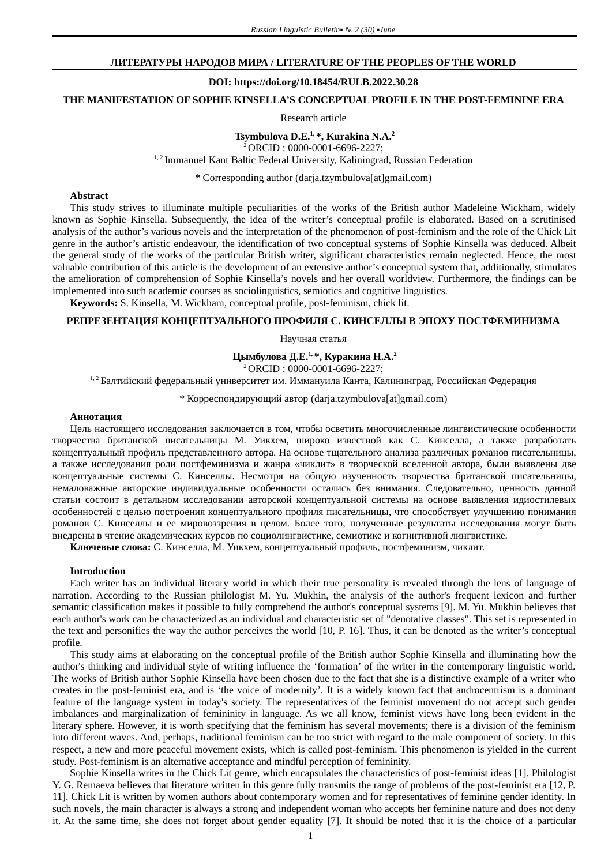## **ЛИТЕРАТУРЫ НАРОДОВ МИРА / LITERATURE OF THE PEOPLES OF THE WORLD**

### **DOI: https://doi.org/10.18454/RULB.2022.30.28**

**THE MANIFESTATION OF SOPHIE KINSELLA'S CONCEPTUAL PROFILE IN THE POST-FEMININE ERA** 

Research article

## **Tsymbulova D.E.1, \*, Kurakina N.A.<sup>2</sup>**

 $2^{2}$ ORCID : 0000-0001-6696-2227;

<sup>1, 2</sup> Immanuel Kant Baltic Federal University, Kaliningrad, Russian Federation

\* Corresponding author (darja.tzymbulova[at]gmail.com)

## **Abstract**

This study strives to illuminate multiple peculiarities of the works of the British author Madeleine Wickham, widely known as Sophie Kinsella. Subsequently, the idea of the writer's conceptual profile is elaborated. Based on a scrutinised analysis of the author's various novels and the interpretation of the phenomenon of post-feminism and the role of the Chick Lit genre in the author's artistic endeavour, the identification of two conceptual systems of Sophie Kinsella was deduced. Albeit the general study of the works of the particular British writer, significant characteristics remain neglected. Hence, the most valuable contribution of this article is the development of an extensive author's conceptual system that, additionally, stimulates the amelioration of comprehension of Sophie Kinsella's novels and her overall worldview. Furthermore, the findings can be implemented into such academic courses as sociolinguistics, semiotics and cognitive linguistics.

**Keywords:** S. Kinsella, M. Wickham, conceptual profile, post-feminism, chick lit.

# **РЕПРЕЗЕНТАЦИЯ КОНЦЕПТУАЛЬНОГО ПРОФИЛЯ С. КИНСЕЛЛЫ В ЭПОХУ ПОСТФЕМИНИЗМА**

Научная статья

# **Цымбулова Д.Е.1, \*, Куракина Н.А.<sup>2</sup>**

<sup>2</sup>ORCID : 0000-0001-6696-2227;

<sup>1, 2</sup> Балтийский федеральный университет им. Иммануила Канта, Калининград, Российская Федерация

\* Корреспондирующий автор (darja.tzymbulova[at]gmail.com)

#### **Аннотация**

Цель настоящего исследования заключается в том, чтобы осветить многочисленные лингвистические особенности творчества британской писательницы М. Уикхем, широко известной как С. Кинселла, а также разработать концептуальный профиль представленного автора. На основе тщательного анализа различных романов писательницы, а также исследования роли постфеминизма и жанра «чиклит» в творческой вселенной автора, были выявлены две концептуальные системы С. Кинселлы. Несмотря на общую изученность творчества британской писательницы, немаловажные авторские индивидуальные особенности остались без внимания. Следовательно, ценность данной статьи состоит в детальном исследовании авторской концептуальной системы на основе выявления идиостилевых особенностей с целью построения концептуального профиля писательницы, что способствует улучшению понимания романов С. Кинселлы и ее мировоззрения в целом. Более того, полученные результаты исследования могут быть внедрены в чтение академических курсов по социолингвистике, семиотике и когнитивной лингвистике.

**Ключевые слова:** С. Кинселла, М. Уикхем, концептуальный профиль, постфеминизм, чиклит.

#### **Introduction**

Each writer has an individual literary world in which their true personality is revealed through the lens of language of narration. According to the Russian philologist M. Yu. Mukhin, the analysis of the author's frequent lexicon and further semantic classification makes it possible to fully comprehend the author's conceptual systems [9]. M. Yu. Mukhin believes that each author's work can be characterized as an individual and characteristic set of "denotative classes". This set is represented in the text and personifies the way the author perceives the world [10, P. 16]. Thus, it can be denoted as the writer's conceptual profile.

This study aims at elaborating on the conceptual profile of the British author Sophie Kinsella and illuminating how the author's thinking and individual style of writing influence the 'formation' of the writer in the contemporary linguistic world. The works of British author Sophie Kinsella have been chosen due to the fact that she is a distinctive example of a writer who creates in the post-feminist era, and is 'the voice of modernity'. It is a widely known fact that androcentrism is a dominant feature of the language system in today's society. The representatives of the feminist movement do not accept such gender imbalances and marginalization of femininity in language. As we all know, feminist views have long been evident in the literary sphere. However, it is worth specifying that the feminism has several movements; there is a division of the feminism into different waves. And, perhaps, traditional feminism can be too strict with regard to the male component of society. In this respect, a new and more peaceful movement exists, which is called post-feminism. This phenomenon is yielded in the current study. Post-feminism is an alternative acceptance and mindful perception of femininity.

Sophie Kinsella writes in the Chick Lit genre, which encapsulates the characteristics of post-feminist ideas [1]. Philologist Y. G. Remaeva believes that literature written in this genre fully transmits the range of problems of the post-feminist era [12, P. 11]. Chick Lit is written by women authors about contemporary women and for representatives of feminine gender identity. In such novels, the main character is always a strong and independent woman who accepts her feminine nature and does not deny it. At the same time, she does not forget about gender equality [7]. It should be noted that it is the choice of a particular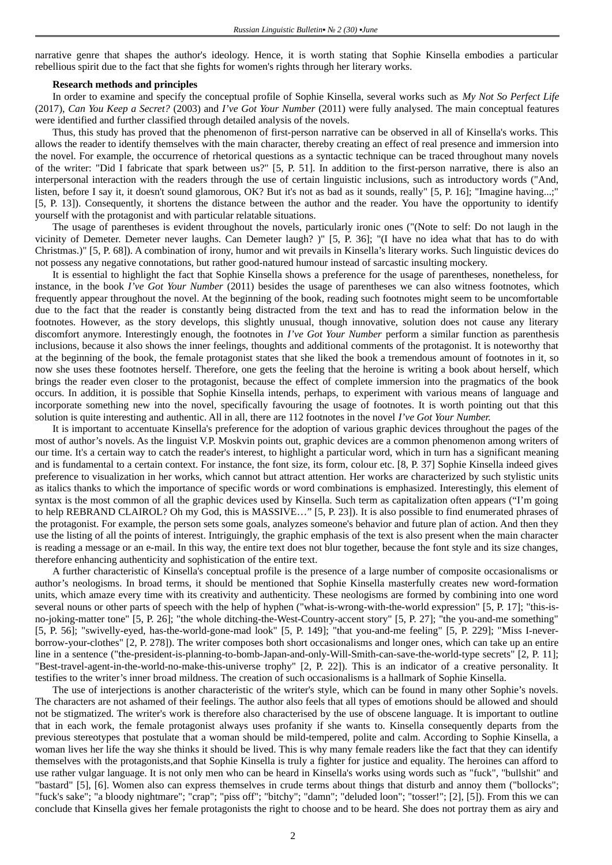narrative genre that shapes the author's ideology. Hence, it is worth stating that Sophie Kinsella embodies a particular rebellious spirit due to the fact that she fights for women's rights through her literary works.

## **Research methods and principles**

In order to examine and specify the conceptual profile of Sophie Kinsella, several works such as *My Not So Perfect Life* (2017), *Can You Keep a Secret?* (2003) and *I've Got Your Number* (2011) were fully analysed. The main conceptual features were identified and further classified through detailed analysis of the novels.

Thus, this study has proved that the phenomenon of first-person narrative can be observed in all of Kinsella's works. This allows the reader to identify themselves with the main character, thereby creating an effect of real presence and immersion into the novel. For example, the occurrence of rhetorical questions as a syntactic technique can be traced throughout many novels of the writer: "Did I fabricate that spark between us?" [5, P. 51]. In addition to the first-person narrative, there is also an interpersonal interaction with the readers through the use of certain linguistic inclusions, such as introductory words ("And, listen, before I say it, it doesn't sound glamorous, OK? But it's not as bad as it sounds, really" [5, P. 16]; "Imagine having...;" [5, P. 13]). Consequently, it shortens the distance between the author and the reader. You have the opportunity to identify yourself with the protagonist and with particular relatable situations.

The usage of parentheses is evident throughout the novels, particularly ironic ones ("(Note to self: Do not laugh in the vicinity of Demeter. Demeter never laughs. Can Demeter laugh? )" [5, P. 36]; "(I have no idea what that has to do with Christmas.)" [5, P. 68]). A combination of irony, humor and wit prevails in Kinsella's literary works. Such linguistic devices do not possess any negative connotations, but rather good-natured humour instead of sarcastic insulting mockery.

It is essential to highlight the fact that Sophie Kinsella shows a preference for the usage of parentheses, nonetheless, for instance, in the book *I've Got Your Number* (2011) besides the usage of parentheses we can also witness footnotes, which frequently appear throughout the novel. At the beginning of the book, reading such footnotes might seem to be uncomfortable due to the fact that the reader is constantly being distracted from the text and has to read the information below in the footnotes. However, as the story develops, this slightly unusual, though innovative, solution does not cause any literary discomfort anymore. Interestingly enough, the footnotes in *I've Got Your Number* perform a similar function as parenthesis inclusions, because it also shows the inner feelings, thoughts and additional comments of the protagonist. It is noteworthy that at the beginning of the book, the female protagonist states that she liked the book a tremendous amount of footnotes in it, so now she uses these footnotes herself. Therefore, one gets the feeling that the heroine is writing a book about herself, which brings the reader even closer to the protagonist, because the effect of complete immersion into the pragmatics of the book occurs. In addition, it is possible that Sophie Kinsella intends, perhaps, to experiment with various means of language and incorporate something new into the novel, specifically favouring the usage of footnotes. It is worth pointing out that this solution is quite interesting and authentic. All in all, there are 112 footnotes in the novel *I've Got Your Number.*

It is important to accentuate Kinsella's preference for the adoption of various graphic devices throughout the pages of the most of author's novels. As the linguist V.P. Moskvin points out, graphic devices are a common phenomenon among writers of our time. It's a certain way to catch the reader's interest, to highlight a particular word, which in turn has a significant meaning and is fundamental to a certain context. For instance, the font size, its form, colour etc. [8, P. 37] Sophie Kinsella indeed gives preference to visualization in her works, which cannot but attract attention. Her works are characterized by such stylistic units as italics thanks to which the importance of specific words or word combinations is emphasized. Interestingly, this element of syntax is the most common of all the graphic devices used by Kinsella. Such term as capitalization often appears ("I'm going to help REBRAND CLAIROL? Oh my God, this is MASSIVE…" [5, P. 23]). It is also possible to find enumerated phrases of the protagonist. For example, the person sets some goals, analyzes someone's behavior and future plan of action. And then they use the listing of all the points of interest. Intriguingly, the graphic emphasis of the text is also present when the main character is reading a message or an e-mail. In this way, the entire text does not blur together, because the font style and its size changes, therefore enhancing authenticity and sophistication of the entire text.

A further characteristic of Kinsella's conceptual profile is the presence of a large number of composite occasionalisms or author's neologisms. In broad terms, it should be mentioned that Sophie Kinsella masterfully creates new word-formation units, which amaze every time with its creativity and authenticity. These neologisms are formed by combining into one word several nouns or other parts of speech with the help of hyphen ("what-is-wrong-with-the-world expression" [5, P. 17]; "this-isno-joking-matter tone" [5, P. 26]; "the whole ditching-the-West-Country-accent story" [5, P. 27]; "the you-and-me something" [5, P. 56]; "swivelly-eyed, has-the-world-gone-mad look" [5, P. 149]; "that you-and-me feeling" [5, P. 229]; "Miss I-neverborrow-your-clothes" [2, P. 278]). The writer composes both short occasionalisms and longer ones, which can take up an entire line in a sentence ("the-president-is-planning-to-bomb-Japan-and-only-Will-Smith-can-save-the-world-type secrets" [2, P. 11]; "Best-travel-agent-in-the-world-no-make-this-universe trophy" [2, P. 22]). This is an indicator of a creative personality. It testifies to the writer's inner broad mildness. The creation of such occasionalisms is a hallmark of Sophie Kinsella.

The use of interjections is another characteristic of the writer's style, which can be found in many other Sophie's novels. The characters are not ashamed of their feelings. The author also feels that all types of emotions should be allowed and should not be stigmatized. The writer's work is therefore also characterised by the use of obscene language. It is important to outline that in each work, the female protagonist always uses profanity if she wants to. Kinsella consequently departs from the previous stereotypes that postulate that a woman should be mild-tempered, polite and calm. According to Sophie Kinsella, a woman lives her life the way she thinks it should be lived. This is why many female readers like the fact that they can identify themselves with the protagonists,and that Sophie Kinsella is truly a fighter for justice and equality. The heroines can afford to use rather vulgar language. It is not only men who can be heard in Kinsella's works using words such as "fuck", "bullshit" and "bastard" [5], [6]. Women also can express themselves in crude terms about things that disturb and annoy them ("bollocks"; "fuck's sake"; "a bloody nightmare"; "crap"; "piss off"; "bitchy"; "damn"; "deluded loon"; "tosser!"; [2], [5]). From this we can conclude that Kinsella gives her female protagonists the right to choose and to be heard. She does not portray them as airy and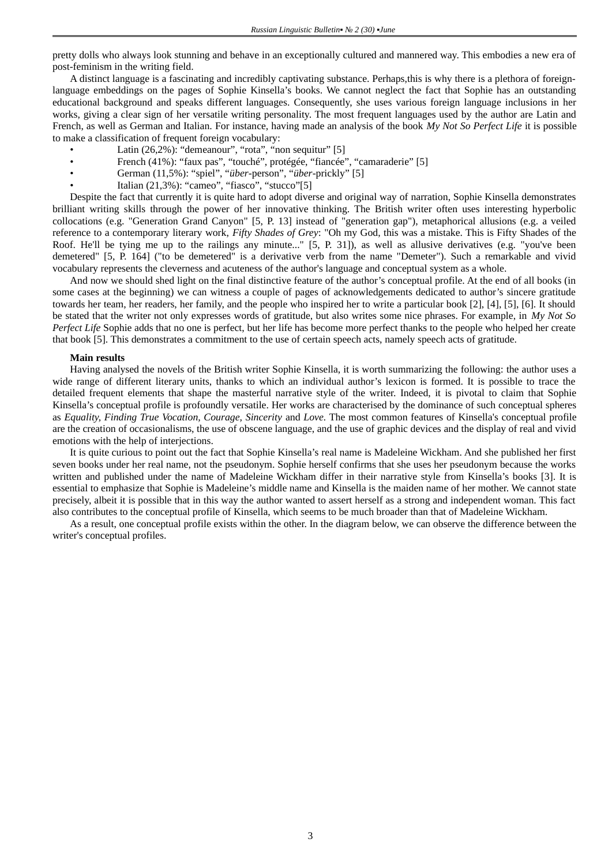pretty dolls who always look stunning and behave in an exceptionally cultured and mannered way. This embodies a new era of post-feminism in the writing field.

A distinct language is a fascinating and incredibly captivating substance. Perhaps,this is why there is a plethora of foreignlanguage embeddings on the pages of Sophie Kinsella's books. We cannot neglect the fact that Sophie has an outstanding educational background and speaks different languages. Consequently, she uses various foreign language inclusions in her works, giving a clear sign of her versatile writing personality. The most frequent languages used by the author are Latin and French, as well as German and Italian. For instance, having made an analysis of the book *My Not So Perfect Life* it is possible to make a classification of frequent foreign vocabulary:

- Latin (26,2%): "demeanour", "rota", "non sequitur" [5]
- French (41%): "faux pas", "touché", protégée, "fiancée", "camaraderie" [5]
- German (11,5%): "spiel", "*über*-person", "*über*-prickly" [5]
- Italian (21,3%): "cameo", "fiasco", "stucco"[5]

Despite the fact that currently it is quite hard to adopt diverse and original way of narration, Sophie Kinsella demonstrates brilliant writing skills through the power of her innovative thinking. The British writer often uses interesting hyperbolic collocations (e.g. "Generation Grand Canyon" [5, P. 13] instead of "generation gap"), metaphorical allusions (e.g. a veiled reference to a contemporary literary work, *Fifty Shades of Grey*: "Oh my God, this was a mistake. This is Fifty Shades of the Roof. He'll be tying me up to the railings any minute..." [5, P. 31]), as well as allusive derivatives (e.g. "you've been demetered" [5, P. 164] ("to be demetered" is a derivative verb from the name "Demeter"). Such a remarkable and vivid vocabulary represents the cleverness and acuteness of the author's language and conceptual system as a whole.

And now we should shed light on the final distinctive feature of the author's conceptual profile. At the end of all books (in some cases at the beginning) we can witness a couple of pages of acknowledgements dedicated to author's sincere gratitude towards her team, her readers, her family, and the people who inspired her to write a particular book [2], [4], [5], [6]. It should be stated that the writer not only expresses words of gratitude, but also writes some nice phrases. For example, in *My Not So Perfect Life* Sophie adds that no one is perfect, but her life has become more perfect thanks to the people who helped her create that book [5]. This demonstrates a commitment to the use of certain speech acts, namely speech acts of gratitude.

#### **Main results**

Having analysed the novels of the British writer Sophie Kinsella, it is worth summarizing the following: the author uses a wide range of different literary units, thanks to which an individual author's lexicon is formed. It is possible to trace the detailed frequent elements that shape the masterful narrative style of the writer. Indeed, it is pivotal to claim that Sophie Kinsella's conceptual profile is profoundly versatile. Her works are characterised by the dominance of such conceptual spheres as *Equality, Finding True Vocation, Courage, Sincerity* and *Love.* The most common features of Kinsella's conceptual profile are the creation of occasionalisms, the use of obscene language, and the use of graphic devices and the display of real and vivid emotions with the help of interjections.

It is quite curious to point out the fact that Sophie Kinsella's real name is Madeleine Wickham. And she published her first seven books under her real name, not the pseudonym. Sophie herself confirms that she uses her pseudonym because the works written and published under the name of Madeleine Wickham differ in their narrative style from Kinsella's books [3]. It is essential to emphasize that Sophie is Madeleine's middle name and Kinsella is the maiden name of her mother. We cannot state precisely, albeit it is possible that in this way the author wanted to assert herself as a strong and independent woman. This fact also contributes to the conceptual profile of Kinsella, which seems to be much broader than that of Madeleine Wickham.

As a result, one conceptual profile exists within the other. In the diagram below, we can observe the difference between the writer's conceptual profiles.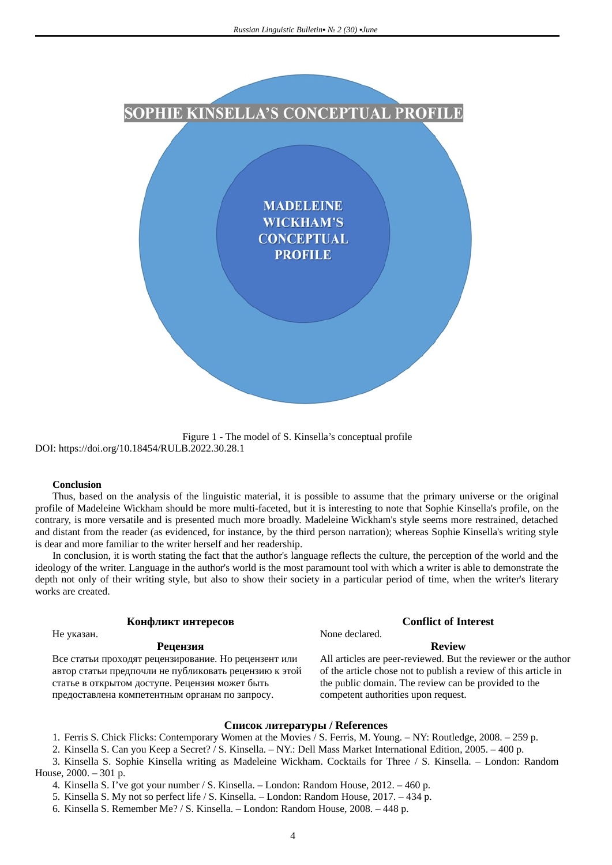

Figure 1 - The model of S. Kinsella's conceptual profile DOI: https://doi.org/10.18454/RULB.2022.30.28.1

#### **Conclusion**

Thus, based on the analysis of the linguistic material, it is possible to assume that the primary universe or the original profile of Madeleine Wickham should be more multi-faceted, but it is interesting to note that Sophie Kinsella's profile, on the contrary, is more versatile and is presented much more broadly. Madeleine Wickham's style seems more restrained, detached and distant from the reader (as evidenced, for instance, by the third person narration); whereas Sophie Kinsella's writing style is dear and more familiar to the writer herself and her readership.

In conclusion, it is worth stating the fact that the author's language reflects the culture, the perception of the world and the ideology of the writer. Language in the author's world is the most paramount tool with which a writer is able to demonstrate the depth not only of their writing style, but also to show their society in a particular period of time, when the writer's literary works are created.

### **Конфликт интересов Conflict of Interest**

Не указан. None declared.

# **Рецензия Review**

Все статьи проходят рецензирование. Но рецензент или автор статьи предпочли не публиковать рецензию к этой статье в открытом доступе. Рецензия может быть предоставлена компетентным органам по запросу.

All articles are peer-reviewed. But the reviewer or the author of the article chose not to publish a review of this article in the public domain. The review can be provided to the competent authorities upon request.

# **Список литературы / References**

1. Ferris S. Chick Flicks: Contemporary Women at the Movies / S. Ferris, M. Young. – NY: Routledge, 2008. – 259 p.

- 2. Kinsella S. Can you Keep a Secret? / S. Kinsella. NY.: Dell Mass Market International Edition, 2005. 400 p.
- 3. Kinsella S. Sophie Kinsella writing as Madeleine Wickham. Cocktails for Three / S. Kinsella. London: Random House, 2000. – 301 p.
	- 4. Kinsella S. I've got your number / S. Kinsella. London: Random House, 2012. 460 p.
	- 5. Kinsella S. My not so perfect life / S. Kinsella. London: Random House, 2017. 434 p.
	- 6. Kinsella S. Remember Me? / S. Kinsella. London: Random House, 2008. 448 p.